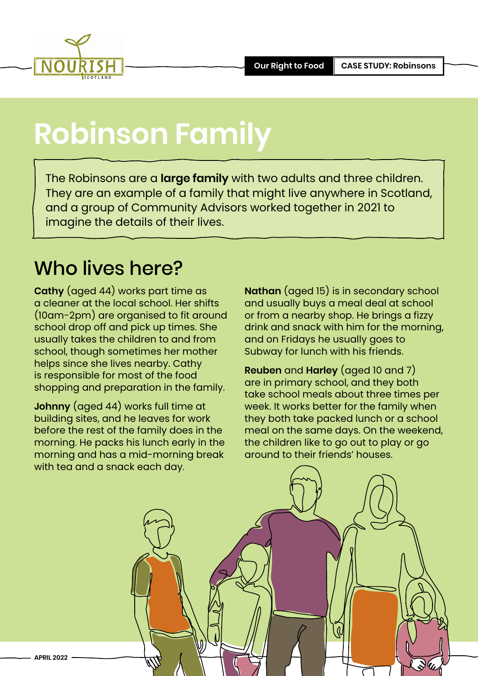

# **Robinson Family**

The Robinsons are a **large family** with two adults and three children. They are an example of a family that might live anywhere in Scotland, and a group of Community Advisors worked together in 2021 to imagine the details of their lives.

### Who lives here?

**Cathy** (aged 44) works part time as a cleaner at the local school. Her shifts (10am-2pm) are organised to fit around school drop off and pick up times. She usually takes the children to and from school, though sometimes her mother helps since she lives nearby. Cathy is responsible for most of the food shopping and preparation in the family.

**Johnny** (aged 44) works full time at building sites, and he leaves for work before the rest of the family does in the morning. He packs his lunch early in the morning and has a mid-morning break with tea and a snack each day.

**Nathan** (aged 15) is in secondary school and usually buys a meal deal at school or from a nearby shop. He brings a fizzy drink and snack with him for the morning, and on Fridays he usually goes to Subway for lunch with his friends.

**Reuben** and **Harley** (aged 10 and 7) are in primary school, and they both take school meals about three times per week. It works better for the family when they both take packed lunch or a school meal on the same days. On the weekend, the children like to go out to play or go around to their friends' houses.

**APRIL 2022**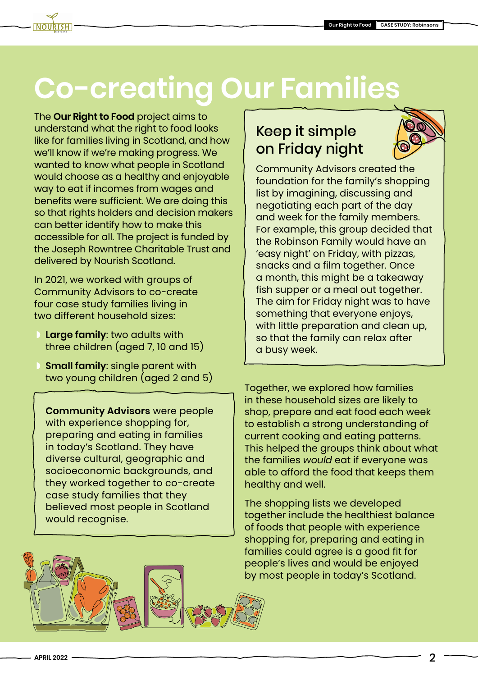## **Co-creating Our Families**

The **[Our Right to Food](https://www.nourishscotland.org/projects/our-right-to-food/)** project aims to understand what the right to food looks like for families living in Scotland, and how we'll know if we're making progress. We wanted to know what people in Scotland would choose as a healthy and enjoyable way to eat if incomes from wages and benefits were sufficient. We are doing this so that rights holders and decision makers can better identify how to make this accessible for all. The project is funded by the Joseph Rowntree Charitable Trust and delivered by Nourish Scotland.

In 2021, we worked with groups of Community Advisors to co-create four case study families living in two different household sizes:

- ◗ **Large family**: two adults with three children (aged 7, 10 and 15)
- **Small family:** single parent with two young children (aged 2 and 5)

**Community Advisors** were people with experience shopping for, preparing and eating in families in today's Scotland. They have diverse cultural, geographic and socioeconomic backgrounds, and they worked together to co-create case study families that they believed most people in Scotland would recognise.





Community Advisors created the foundation for the family's shopping list by imagining, discussing and negotiating each part of the day and week for the family members. For example, this group decided that the Robinson Family would have an 'easy night' on Friday, with pizzas, snacks and a film together. Once a month, this might be a takeaway fish supper or a meal out together. The aim for Friday night was to have something that everyone enjoys, with little preparation and clean up, so that the family can relax after a busy week.

Together, we explored how families in these household sizes are likely to shop, prepare and eat food each week to establish a strong understanding of current cooking and eating patterns. This helped the groups think about what the families *would* eat if everyone was able to afford the food that keeps them healthy and well.

The shopping lists we developed together include the healthiest balance of foods that people with experience shopping for, preparing and eating in families could agree is a good fit for people's lives and would be enjoyed by most people in today's Scotland.

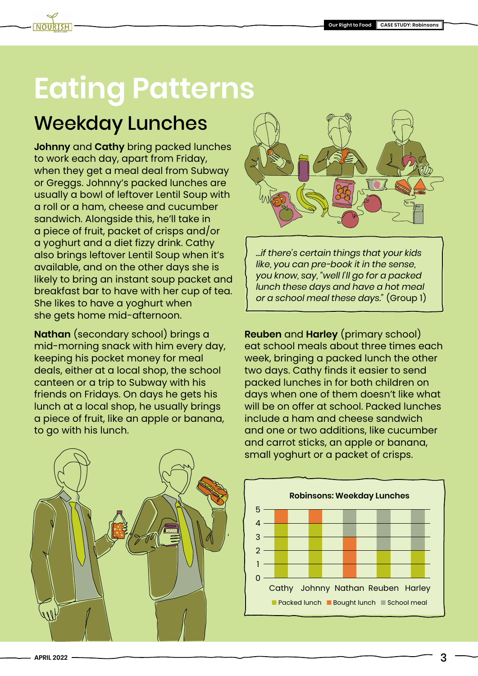# **Eating Patterns**

## Weekday Lunches

**Johnny** and **Cathy** bring packed lunches to work each day, apart from Friday, when they get a meal deal from Subway or Greggs. Johnny's packed lunches are usually a bowl of leftover Lentil Soup with a roll or a ham, cheese and cucumber sandwich. Alongside this, he'll take in a piece of fruit, packet of crisps and/or a yoghurt and a diet fizzy drink. Cathy also brings leftover Lentil Soup when it's available, and on the other days she is likely to bring an instant soup packet and breakfast bar to have with her cup of tea. She likes to have a yoghurt when she gets home mid-afternoon.

**Nathan** (secondary school) brings a mid-morning snack with him every day, keeping his pocket money for meal deals, either at a local shop, the school canteen or a trip to Subway with his friends on Fridays. On days he gets his lunch at a local shop, he usually brings a piece of fruit, like an apple or banana, to go with his lunch.



*…if there's certain things that your kids like, you can pre-book it in the sense, you know, say, "well I'll go for a packed lunch these days and have a hot meal or a school meal these days."* (Group 1)

**Reuben** and **Harley** (primary school) eat school meals about three times each week, bringing a packed lunch the other two days. Cathy finds it easier to send packed lunches in for both children on days when one of them doesn't like what will be on offer at school. Packed lunches include a ham and cheese sandwich and one or two additions, like cucumber and carrot sticks, an apple or banana, small yoghurt or a packet of crisps.



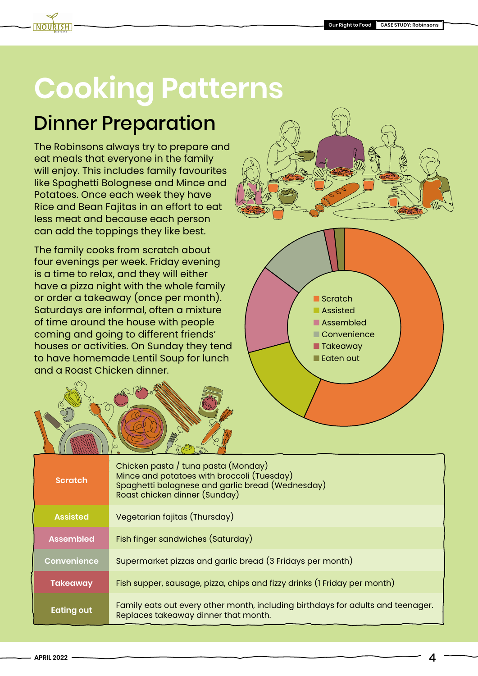

# **Cooking Patterns**

### Dinner Preparation

The Robinsons always try to prepare and eat meals that everyone in the family will enjoy. This includes family favourites like Spaghetti Bolognese and Mince and Potatoes. Once each week they have Rice and Bean Fajitas in an effort to eat less meat and because each person can add the toppings they like best.

The family cooks from scratch about four evenings per week. Friday evening is a time to relax, and they will either have a pizza night with the whole family or order a takeaway (once per month). Saturdays are informal, often a mixture of time around the house with people coming and going to different friends' houses or activities. On Sunday they tend to have homemade Lentil Soup for lunch and a Roast Chicken dinner.







| <b>Scratch</b>    | Chicken pasta / tuna pasta (Monday)<br>Mince and potatoes with broccoli (Tuesday)<br>Spaghetti bolognese and garlic bread (Wednesday)<br>Roast chicken dinner (Sunday) |  |
|-------------------|------------------------------------------------------------------------------------------------------------------------------------------------------------------------|--|
| <b>Assisted</b>   | Vegetarian fajitas (Thursday)                                                                                                                                          |  |
| <b>Assembled</b>  | Fish finger sandwiches (Saturday)                                                                                                                                      |  |
| Convenience       | Supermarket pizzas and garlic bread (3 Fridays per month)                                                                                                              |  |
| <b>Takeaway</b>   | Fish supper, sausage, pizza, chips and fizzy drinks (I Friday per month)                                                                                               |  |
| <b>Eating out</b> | Family eats out every other month, including birthdays for adults and teenager.<br>Replaces takeaway dinner that month.                                                |  |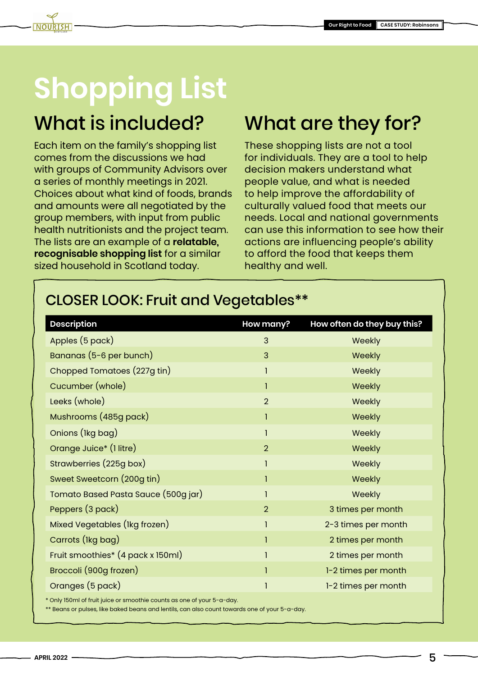# **Shopping List**

## What is included?

Each item on the family's shopping list comes from the discussions we had with groups of Community Advisors over a series of monthly meetings in 2021. Choices about what kind of foods, brands and amounts were all negotiated by the group members, with input from public health nutritionists and the project team. The lists are an example of a **relatable, recognisable shopping list** for a similar sized household in Scotland today.

## What are they for?

These shopping lists are not a tool for individuals. They are a tool to help decision makers understand what people value, and what is needed to help improve the affordability of culturally valued food that meets our needs. Local and national governments can use this information to see how their actions are influencing people's ability to afford the food that keeps them healthy and well.

#### CLOSER LOOK: Fruit and Vegetables\*\*

| How many?      | How often do they buy this? |
|----------------|-----------------------------|
| 3              | Weekly                      |
| 3              | Weekly                      |
| 1              | Weekly                      |
| 1              | Weekly                      |
| $\overline{2}$ | Weekly                      |
| 1              | Weekly                      |
| 1              | Weekly                      |
| $\overline{2}$ | Weekly                      |
| 1              | Weekly                      |
|                | Weekly                      |
| 1              | Weekly                      |
| $\overline{2}$ | 3 times per month           |
| 1              | 2-3 times per month         |
| 1              | 2 times per month           |
| 1              | 2 times per month           |
| T              | 1-2 times per month         |
|                | 1-2 times per month         |
|                |                             |

\* Only 150ml of fruit juice or smoothie counts as one of your 5-a-day.

\*\* Beans or pulses, like baked beans and lentils, can also count towards one of your 5-a-day.